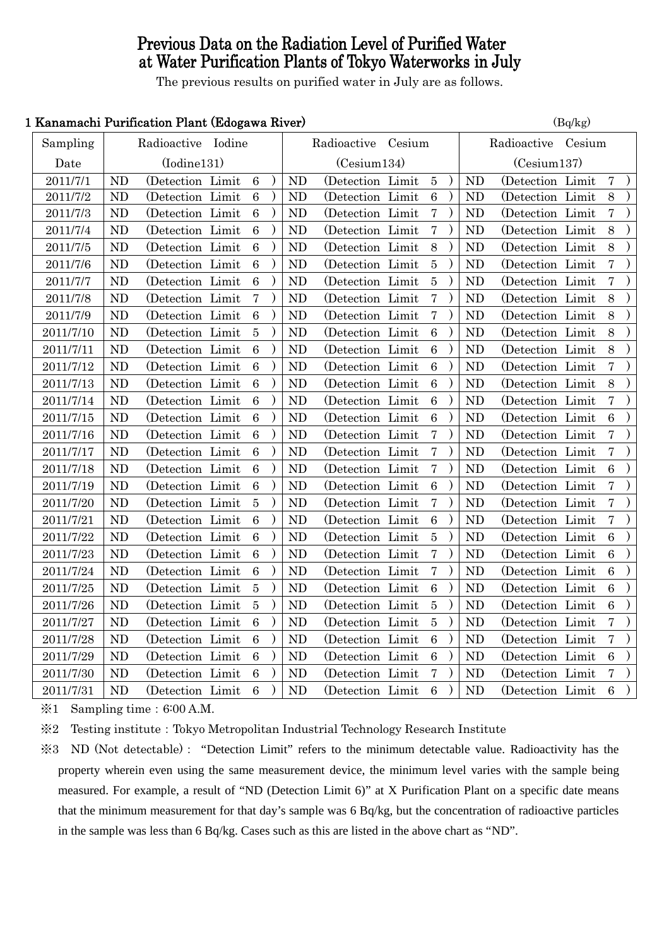# Previous Data on the Radiation Level of Purified Water at Water Purification Plants of Tokyo Waterworks in July

The previous results on purified water in July are as follows.

## 1 Kanamachi Purification Plant (Edogawa River)  $(B_0/k_g)$

| <u>Isahamachi I dimcatibil I lahi (Bubgawa Nivel)</u> |                |                    |                  |                |                  |        | $(\mathbf{D}\mathbf{y}\mathbf{n}\mathbf{g})$ |  |                |                   |        |                  |  |
|-------------------------------------------------------|----------------|--------------------|------------------|----------------|------------------|--------|----------------------------------------------|--|----------------|-------------------|--------|------------------|--|
| Sampling                                              |                | Radioactive Iodine |                  |                | Radioactive      | Cesium |                                              |  |                | Radioactive       | Cesium |                  |  |
| Date                                                  |                | (Iodine131)        |                  |                | (Cesium134)      |        |                                              |  |                | (Cesium137)       |        |                  |  |
| 2011/7/1                                              | <b>ND</b>      | (Detection Limit   | $6\phantom{1}6$  | <b>ND</b>      | (Detection Limit |        | $\bf 5$                                      |  | <b>ND</b>      | (Detection Limit  |        | $\overline{7}$   |  |
| 2011/7/2                                              | <b>ND</b>      | (Detection Limit   | $\,6\,$          | ND             | (Detection Limit |        | $\,6\,$                                      |  | <b>ND</b>      | (Detection Limit  |        | 8                |  |
| 2011/7/3                                              | <b>ND</b>      | (Detection Limit   | $\boldsymbol{6}$ | <b>ND</b>      | (Detection Limit |        | $\overline{7}$                               |  | ND             | (Detection Limit  |        | $\bf 7$          |  |
| 2011/7/4                                              | <b>ND</b>      | (Detection Limit   | $6\phantom{.}6$  | <b>ND</b>      | (Detection Limit |        | $\overline{7}$                               |  | <b>ND</b>      | (Detection Limit  |        | 8                |  |
| 2011/7/5                                              | ND             | (Detection Limit   | $\,6\,$          | <b>ND</b>      | (Detection Limit |        | 8                                            |  | N <sub>D</sub> | (Detection Limit  |        | 8                |  |
| 2011/7/6                                              | <b>ND</b>      | (Detection Limit   | $\,6\,$          | <b>ND</b>      | (Detection Limit |        | $\overline{5}$                               |  | N <sub>D</sub> | (Detection Limit  |        | $\overline{7}$   |  |
| 2011/7/7                                              | N <sub>D</sub> | (Detection Limit   | $\,6\,$          | <b>ND</b>      | (Detection Limit |        | $\bf 5$                                      |  | N <sub>D</sub> | (Detection Limit  |        | $\bf 7$          |  |
| 2011/7/8                                              | <b>ND</b>      | (Detection Limit   | $\overline{7}$   | <b>ND</b>      | (Detection Limit |        | $\overline{7}$                               |  | N <sub>D</sub> | (Detection Limit  |        | 8                |  |
| 2011/7/9                                              | N <sub>D</sub> | (Detection Limit)  | $\overline{6}$   | ND             | (Detection Limit |        | 7                                            |  | ND             | (Detection Limit  |        | 8                |  |
| 2011/7/10                                             | ND             | (Detection Limit   | $\overline{5}$   | ND             | (Detection Limit |        | $\overline{6}$                               |  | ND             | (Detection Limit  |        | 8                |  |
| 2011/7/11                                             | <b>ND</b>      | (Detection Limit)  | $6\phantom{.}6$  | <b>ND</b>      | (Detection Limit |        | $\overline{6}$                               |  | <b>ND</b>      | (Detection Limit  |        | 8                |  |
| 2011/7/12                                             | ND             | (Detection Limit)  | $6\phantom{1}6$  | ND             | (Detection Limit |        | $\,6\,$                                      |  | <b>ND</b>      | (Detection Limit  |        | $\bf 7$          |  |
| 2011/7/13                                             | ND             | (Detection Limit   | $\overline{6}$   | <b>ND</b>      | (Detection Limit |        | $\overline{6}$                               |  | N <sub>D</sub> | (Detection Limit  |        | 8                |  |
| 2011/7/14                                             | ND             | (Detection Limit   | $\,6\,$          | <b>ND</b>      | (Detection Limit |        | $\boldsymbol{6}$                             |  | N <sub>D</sub> | (Detection Limit  |        | $\overline{7}$   |  |
| 2011/7/15                                             | ND             | (Detection Limit   | $\,6\,$          | <b>ND</b>      | (Detection Limit |        | $\boldsymbol{6}$                             |  | N <sub>D</sub> | (Detection Limit  |        | $\overline{6}$   |  |
| 2011/7/16                                             | ND             | (Detection Limit   | $6\phantom{.}6$  | <b>ND</b>      | (Detection Limit |        | 7                                            |  | <b>ND</b>      | (Detection Limit  |        | $\bf 7$          |  |
| 2011/7/17                                             | ND             | (Detection Limit   | $\,6\,$          | ND             | (Detection Limit |        | $\overline{7}$                               |  | <b>ND</b>      | (Detection Limit  |        | $\overline{7}$   |  |
| 2011/7/18                                             | <b>ND</b>      | (Detection Limit   | $6\phantom{.}6$  | <b>ND</b>      | (Detection Limit |        | 7                                            |  | <b>ND</b>      | (Detection Limit  |        | 6                |  |
| 2011/7/19                                             | ND             | (Detection Limit   | $6\phantom{.}6$  | <b>ND</b>      | (Detection Limit |        | $\boldsymbol{6}$                             |  | ND             | (Detection Limit  |        | $\bf 7$          |  |
| 2011/7/20                                             | <b>ND</b>      | (Detection Limit   | 5                | <b>ND</b>      | (Detection Limit |        | $\bf 7$                                      |  | <b>ND</b>      | (Detection Limit  |        | $\overline{7}$   |  |
| 2011/7/21                                             | <b>ND</b>      | (Detection Limit   | $6\phantom{.}6$  | <b>ND</b>      | (Detection Limit |        | $\,6\,$                                      |  | N <sub>D</sub> | (Detection Limit  |        | $\bf 7$          |  |
| 2011/7/22                                             | ND             | (Detection Limit   | $\,6\,$          | <b>ND</b>      | (Detection Limit |        | $\overline{5}$                               |  | N <sub>D</sub> | (Detection Limit  |        | 6                |  |
| 2011/7/23                                             | ND             | (Detection Limit   | $6\phantom{.}6$  | <b>ND</b>      | (Detection Limit |        | 7                                            |  | <b>ND</b>      | (Detection Limit  |        | $\overline{6}$   |  |
| 2011/7/24                                             | ND             | (Detection Limit   | $6\phantom{1}6$  | N <sub>D</sub> | (Detection Limit |        | 7                                            |  | ND             | (Detection Limit  |        | $\overline{6}$   |  |
| 2011/7/25                                             | <b>ND</b>      | (Detection Limit   | $\overline{5}$   | <b>ND</b>      | (Detection Limit |        | $6\phantom{.}6$                              |  | ND             | (Detection Limit  |        | $\overline{6}$   |  |
| 2011/7/26                                             | ND             | (Detection Limit)  | $\bf 5$          | ND             | (Detection Limit |        | $\bf 5$                                      |  | <b>ND</b>      | (Detection Limit) |        | $\boldsymbol{6}$ |  |
| 2011/7/27                                             | ND             | (Detection Limit   | $6\phantom{1}6$  | <b>ND</b>      | (Detection Limit |        | $\overline{5}$                               |  | <b>ND</b>      | (Detection Limit  |        | $\overline{7}$   |  |
| 2011/7/28                                             | ND             | (Detection Limit   | $\overline{6}$   | ND             | (Detection Limit |        | $\overline{6}$                               |  | N <sub>D</sub> | (Detection Limit  |        | $\overline{7}$   |  |
| 2011/7/29                                             | ND             | (Detection Limit)  | $6\phantom{.}6$  | <b>ND</b>      | (Detection Limit |        | $\overline{6}$                               |  | <b>ND</b>      | (Detection Limit  |        | 6                |  |
| 2011/7/30                                             | <b>ND</b>      | (Detection Limit   | $\,6\,$          | <b>ND</b>      | (Detection Limit |        | $\overline{7}$                               |  | <b>ND</b>      | (Detection Limit  |        | 7                |  |
| 2011/7/31                                             | ND             | (Detection Limit   | $\,6\,$          | ND             | (Detection Limit |        | $\overline{6}$                               |  | ND             | (Detection Limit  |        | $\overline{6}$   |  |

 $\div 1$  Sampling time: 6:00 A.M.

※2 Testing institute:Tokyo Metropolitan Industrial Technology Research Institute

※3 ND (Not detectable): "Detection Limit" refers to the minimum detectable value. Radioactivity has the property wherein even using the same measurement device, the minimum level varies with the sample being measured. For example, a result of "ND (Detection Limit 6)" at X Purification Plant on a specific date means that the minimum measurement for that day's sample was 6 Bq/kg, but the concentration of radioactive particles in the sample was less than 6 Bq/kg. Cases such as this are listed in the above chart as "ND".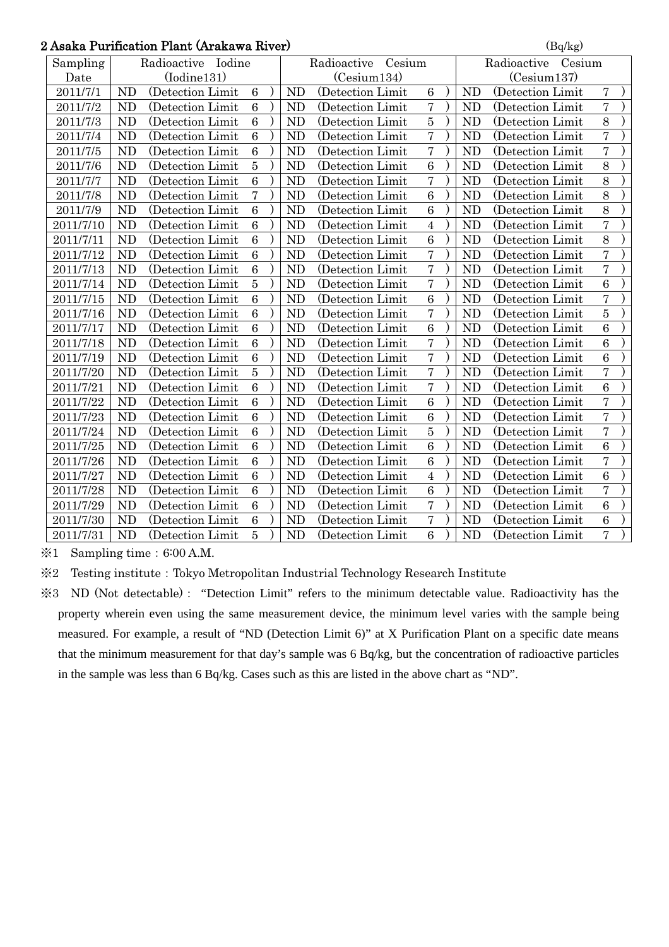## 2 Asaka Purification Plant (Arakawa River)  $\left( \frac{B}{Bq/kg} \right)$

| Asaka Purification Piant (Arakawa River) |                       |                  |                 |  |                |                       |                       |  |                | (Bq/kg)           |                |  |  |
|------------------------------------------|-----------------------|------------------|-----------------|--|----------------|-----------------------|-----------------------|--|----------------|-------------------|----------------|--|--|
| Sampling                                 | Radioactive<br>Iodine |                  |                 |  |                | Radioactive<br>Cesium | Radioactive<br>Cesium |  |                |                   |                |  |  |
| Date                                     | (Iodine131)           |                  |                 |  | (Cesium134)    |                       |                       |  | (Cesium137)    |                   |                |  |  |
| 2011/7/1                                 | <b>ND</b>             | (Detection Limit | $6\phantom{.}6$ |  | <b>ND</b>      | (Detection Limit      | 6                     |  | <b>ND</b>      | (Detection Limit  | $\sqrt{ }$     |  |  |
| 2011/7/2                                 | <b>ND</b>             | (Detection Limit | 6               |  | N <sub>D</sub> | (Detection Limit      | $\overline{7}$        |  | <b>ND</b>      | (Detection Limit) | 7              |  |  |
| 2011/7/3                                 | <b>ND</b>             | (Detection Limit | $6\phantom{.}6$ |  | <b>ND</b>      | (Detection Limit      | 5                     |  | <b>ND</b>      | (Detection Limit) | 8              |  |  |
| 2011/7/4                                 | <b>ND</b>             | (Detection Limit | $\overline{6}$  |  | <b>ND</b>      | (Detection Limit      | $\overline{7}$        |  | <b>ND</b>      | (Detection Limit  | $\overline{7}$ |  |  |
| 2011/7/5                                 | <b>ND</b>             | (Detection Limit | $\overline{6}$  |  | <b>ND</b>      | (Detection Limit      | $\overline{7}$        |  | <b>ND</b>      | (Detection Limit) | 7              |  |  |
| 2011/7/6                                 | <b>ND</b>             | (Detection Limit | $\overline{5}$  |  | <b>ND</b>      | (Detection Limit      | $\overline{6}$        |  | <b>ND</b>      | (Detection Limit  | 8              |  |  |
| 2011/7/7                                 | <b>ND</b>             | (Detection Limit | $6\phantom{.}6$ |  | <b>ND</b>      | (Detection Limit)     | $\overline{7}$        |  | <b>ND</b>      | (Detection Limit) | 8              |  |  |
| 2011/7/8                                 | <b>ND</b>             | (Detection Limit | $\overline{7}$  |  | <b>ND</b>      | (Detection Limit      | 6                     |  | <b>ND</b>      | (Detection Limit  | 8              |  |  |
| 2011/7/9                                 | <b>ND</b>             | (Detection Limit | $\overline{6}$  |  | <b>ND</b>      | (Detection Limit      | 6                     |  | <b>ND</b>      | (Detection Limit) | 8              |  |  |
| 2011/7/10                                | <b>ND</b>             | (Detection Limit | $\overline{6}$  |  | <b>ND</b>      | (Detection Limit      | $\overline{4}$        |  | <b>ND</b>      | (Detection Limit) | $\overline{7}$ |  |  |
| 2011/7/11                                | <b>ND</b>             | (Detection Limit | $6\phantom{a}$  |  | <b>ND</b>      | (Detection Limit      | 6                     |  | <b>ND</b>      | (Detection Limit) | 8              |  |  |
| 2011/7/12                                | <b>ND</b>             | (Detection Limit | $\overline{6}$  |  | <b>ND</b>      | (Detection Limit      | $\overline{7}$        |  | <b>ND</b>      | (Detection Limit) | $\overline{7}$ |  |  |
| 2011/7/13                                | <b>ND</b>             | (Detection Limit | 6               |  | <b>ND</b>      | (Detection Limit      | $\overline{7}$        |  | <b>ND</b>      | (Detection Limit) | $\overline{7}$ |  |  |
| 2011/7/14                                | <b>ND</b>             | (Detection Limit | $\overline{5}$  |  | <b>ND</b>      | (Detection Limit      | $\overline{7}$        |  | <b>ND</b>      | (Detection Limit  | 6              |  |  |
| 2011/7/15                                | <b>ND</b>             | (Detection Limit | 6               |  | <b>ND</b>      | (Detection Limit      | 6                     |  | <b>ND</b>      | (Detection Limit  | 7              |  |  |
| 2011/7/16                                | <b>ND</b>             | (Detection Limit | $6\phantom{.}6$ |  | <b>ND</b>      | (Detection Limit)     | $\overline{7}$        |  | <b>ND</b>      | (Detection Limit) | 5              |  |  |
| 2011/7/17                                | <b>ND</b>             | (Detection Limit | $\,6\,$         |  | <b>ND</b>      | (Detection Limit      | 6                     |  | <b>ND</b>      | (Detection Limit) | 6              |  |  |
| 2011/7/18                                | <b>ND</b>             | (Detection Limit | $\overline{6}$  |  | <b>ND</b>      | (Detection Limit      | $\overline{7}$        |  | <b>ND</b>      | (Detection Limit) | 6              |  |  |
| 2011/7/19                                | <b>ND</b>             | (Detection Limit | 6               |  | <b>ND</b>      | (Detection Limit      | $\overline{7}$        |  | <b>ND</b>      | (Detection Limit  | 6              |  |  |
| 2011/7/20                                | <b>ND</b>             | (Detection Limit | $\overline{5}$  |  | <b>ND</b>      | (Detection Limit      | $\overline{7}$        |  | <b>ND</b>      | (Detection Limit) | $\overline{7}$ |  |  |
| 2011/7/21                                | <b>ND</b>             | (Detection Limit | $\overline{6}$  |  | <b>ND</b>      | (Detection Limit      | $\overline{7}$        |  | <b>ND</b>      | (Detection Limit) | $\overline{6}$ |  |  |
| 2011/7/22                                | <b>ND</b>             | (Detection Limit | $\overline{6}$  |  | <b>ND</b>      | (Detection Limit      | 6                     |  | <b>ND</b>      | (Detection Limit) | $\overline{7}$ |  |  |
| 2011/7/23                                | <b>ND</b>             | (Detection Limit | $\overline{6}$  |  | <b>ND</b>      | (Detection Limit      | $\overline{6}$        |  | N <sub>D</sub> | (Detection Limit  | $\overline{7}$ |  |  |
| 2011/7/24                                | <b>ND</b>             | (Detection Limit | 6               |  | <b>ND</b>      | (Detection Limit)     | $\overline{5}$        |  | <b>ND</b>      | (Detection Limit  | $\overline{7}$ |  |  |
| 2011/7/25                                | <b>ND</b>             | (Detection Limit | $6\phantom{1}6$ |  | <b>ND</b>      | (Detection Limit      | 6                     |  | <b>ND</b>      | (Detection Limit) | 6              |  |  |
| 2011/7/26                                | <b>ND</b>             | (Detection Limit | $\overline{6}$  |  | <b>ND</b>      | (Detection Limit      | 6                     |  | N <sub>D</sub> | (Detection Limit) | $\overline{7}$ |  |  |
| 2011/7/27                                | <b>ND</b>             | (Detection Limit | $6\phantom{1}6$ |  | <b>ND</b>      | (Detection Limit      | $\overline{4}$        |  | <b>ND</b>      | (Detection Limit) | 6              |  |  |
| 2011/7/28                                | <b>ND</b>             | (Detection Limit | $\overline{6}$  |  | <b>ND</b>      | (Detection Limit      | $\overline{6}$        |  | N <sub>D</sub> | (Detection Limit  | $\overline{7}$ |  |  |
| 2011/7/29                                | <b>ND</b>             | (Detection Limit | $\overline{6}$  |  | <b>ND</b>      | (Detection Limit      | $\overline{7}$        |  | N <sub>D</sub> | (Detection Limit) | $\,6\,$        |  |  |
| 2011/7/30                                | <b>ND</b>             | (Detection Limit | $\,6\,$         |  | <b>ND</b>      | (Detection Limit      | $\overline{7}$        |  | N <sub>D</sub> | (Detection Limit  | $\overline{6}$ |  |  |
| 2011/7/31                                | <b>ND</b>             | (Detection Limit | $\overline{5}$  |  | <b>ND</b>      | (Detection Limit)     | 6                     |  | <b>ND</b>      | (Detection Limit) | $\overline{7}$ |  |  |

 $\text{\%}1$  Sampling time: 6:00 A.M.

※2 Testing institute:Tokyo Metropolitan Industrial Technology Research Institute

※3 ND (Not detectable): "Detection Limit" refers to the minimum detectable value. Radioactivity has the property wherein even using the same measurement device, the minimum level varies with the sample being measured. For example, a result of "ND (Detection Limit 6)" at X Purification Plant on a specific date means that the minimum measurement for that day's sample was 6 Bq/kg, but the concentration of radioactive particles in the sample was less than 6 Bq/kg. Cases such as this are listed in the above chart as "ND".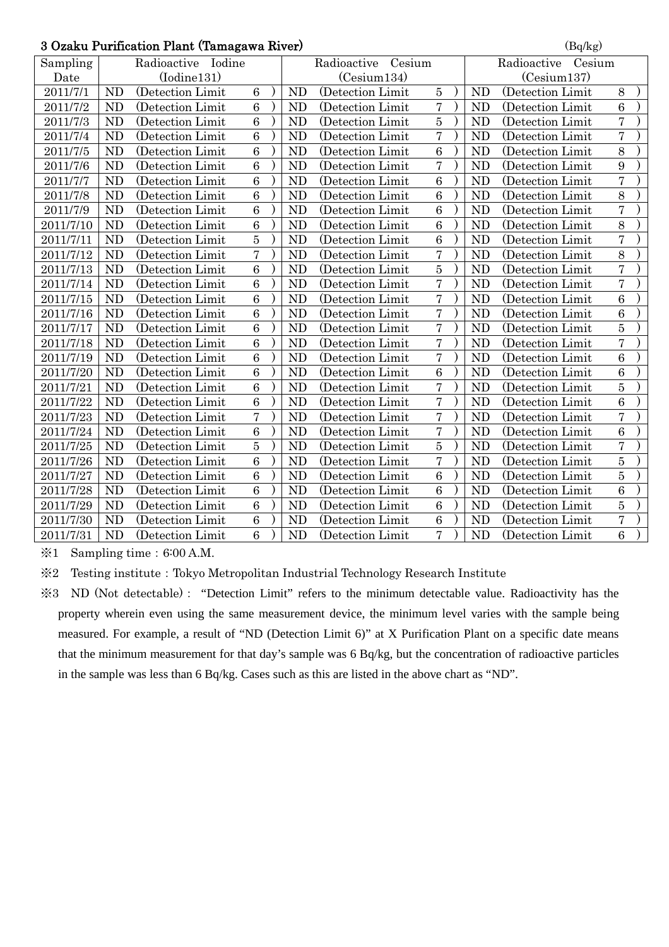| 3 Ozaku Purification Plant (Tamagawa River) | (Bq/kg)   |                    |                |                       |                   |                  |  |           |                       |                 |  |  |  |
|---------------------------------------------|-----------|--------------------|----------------|-----------------------|-------------------|------------------|--|-----------|-----------------------|-----------------|--|--|--|
| Sampling                                    |           | Radioactive Iodine |                | Cesium<br>Radioactive |                   |                  |  |           | Radioactive<br>Cesium |                 |  |  |  |
| Date                                        |           | (Iodine131)        |                |                       | (Cesium134)       |                  |  |           | (Cesium137)           |                 |  |  |  |
| 2011/7/1                                    | <b>ND</b> | (Detection Limit   | $\overline{6}$ | <b>ND</b>             | (Detection Limit  | 5                |  | <b>ND</b> | (Detection Limit      | 8               |  |  |  |
| 2011/7/2                                    | <b>ND</b> | (Detection Limit   | 6              | <b>ND</b>             | (Detection Limit) | $\overline{7}$   |  | <b>ND</b> | (Detection Limit)     | 6               |  |  |  |
| 2011/7/3                                    | ND        | (Detection Limit   | 6              | <b>ND</b>             | (Detection Limit) | $\overline{5}$   |  | <b>ND</b> | (Detection Limit      | $\overline{7}$  |  |  |  |
| 2011/7/4                                    | <b>ND</b> | (Detection Limit)  | 6              | <b>ND</b>             | (Detection Limit) | $\overline{7}$   |  | <b>ND</b> | (Detection Limit)     | $\overline{7}$  |  |  |  |
| 2011/7/5                                    | <b>ND</b> | (Detection Limit   | 6              | <b>ND</b>             | (Detection Limit  | $\boldsymbol{6}$ |  | <b>ND</b> | (Detection Limit      | 8               |  |  |  |
| 2011/7/6                                    | <b>ND</b> | (Detection Limit   | 6              | N <sub>D</sub>        | (Detection Limit) | $\overline{7}$   |  | <b>ND</b> | (Detection Limit)     | 9               |  |  |  |
| 2011/7/7                                    | <b>ND</b> | (Detection Limit)  | 6              | <b>ND</b>             | (Detection Limit) | $\overline{6}$   |  | <b>ND</b> | (Detection Limit      | $\overline{7}$  |  |  |  |
| 2011/7/8                                    | ND        | (Detection Limit   | 6              | <b>ND</b>             | (Detection Limit) | $\overline{6}$   |  | <b>ND</b> | (Detection Limit      | 8               |  |  |  |
| 2011/7/9                                    | <b>ND</b> | (Detection Limit   | 6              | <b>ND</b>             | (Detection Limit) | $\overline{6}$   |  | <b>ND</b> | (Detection Limit)     | $\overline{7}$  |  |  |  |
| 2011/7/10                                   | <b>ND</b> | (Detection Limit   | 6              | <b>ND</b>             | (Detection Limit) | 6                |  | <b>ND</b> | (Detection Limit)     | 8               |  |  |  |
| 2011/7/11                                   | <b>ND</b> | (Detection Limit   | $\overline{5}$ | <b>ND</b>             | (Detection Limit) | $\overline{6}$   |  | <b>ND</b> | (Detection Limit)     | $\overline{7}$  |  |  |  |
| 2011/7/12                                   | <b>ND</b> | (Detection Limit)  | $\overline{7}$ | <b>ND</b>             | (Detection Limit) | $\overline{7}$   |  | <b>ND</b> | (Detection Limit      | 8               |  |  |  |
| 2011/7/13                                   | <b>ND</b> | (Detection Limit   | 6              | <b>ND</b>             | (Detection Limit  | $\overline{5}$   |  | <b>ND</b> | (Detection Limit      | $\overline{7}$  |  |  |  |
| 2011/7/14                                   | <b>ND</b> | (Detection Limit   | 6              | <b>ND</b>             | (Detection Limit) | $\overline{7}$   |  | <b>ND</b> | (Detection Limit      | $\overline{7}$  |  |  |  |
| 2011/7/15                                   | <b>ND</b> | (Detection Limit   | 6              | ND                    | (Detection Limit) | $\overline{7}$   |  | <b>ND</b> | (Detection Limit      | 6               |  |  |  |
| 2011/7/16                                   | <b>ND</b> | (Detection Limit)  | 6              | <b>ND</b>             | (Detection Limit) | $\overline{7}$   |  | <b>ND</b> | (Detection Limit)     | 6               |  |  |  |
| 2011/7/17                                   | <b>ND</b> | (Detection Limit   | 6              | <b>ND</b>             | (Detection Limit  | $\overline{7}$   |  | <b>ND</b> | (Detection Limit      | $\overline{5}$  |  |  |  |
| 2011/7/18                                   | <b>ND</b> | (Detection Limit   | 6              | <b>ND</b>             | (Detection Limit) | $\overline{7}$   |  | <b>ND</b> | (Detection Limit      | $\overline{7}$  |  |  |  |
| 2011/7/19                                   | <b>ND</b> | (Detection Limit)  | 6              | <b>ND</b>             | (Detection Limit) | $\overline{7}$   |  | <b>ND</b> | (Detection Limit)     | $6\phantom{1}6$ |  |  |  |
| 2011/7/20                                   | <b>ND</b> | (Detection Limit   | 6              | N <sub>D</sub>        | (Detection Limit  | 6                |  | <b>ND</b> | (Detection Limit      | 6               |  |  |  |
| 2011/7/21                                   | <b>ND</b> | (Detection Limit)  | 6              | <b>ND</b>             | (Detection Limit) | $\overline{7}$   |  | <b>ND</b> | (Detection Limit      | $\overline{5}$  |  |  |  |
| 2011/7/22                                   | <b>ND</b> | (Detection Limit   | 6              | <b>ND</b>             | (Detection Limit) | $\overline{7}$   |  | <b>ND</b> | (Detection Limit      | 6               |  |  |  |
| 2011/7/23                                   | <b>ND</b> | (Detection Limit   | $\overline{7}$ | <b>ND</b>             | (Detection Limit) | $\overline{7}$   |  | <b>ND</b> | (Detection Limit)     | $\overline{7}$  |  |  |  |
| 2011/7/24                                   | <b>ND</b> | (Detection Limit   | 6              | N <sub>D</sub>        | (Detection Limit) | $\overline{7}$   |  | <b>ND</b> | (Detection Limit      | 6               |  |  |  |
| 2011/7/25                                   | <b>ND</b> | (Detection Limit   | $\overline{5}$ | <b>ND</b>             | (Detection Limit  | 5                |  | <b>ND</b> | (Detection Limit      | $\overline{7}$  |  |  |  |
| 2011/7/26                                   | <b>ND</b> | (Detection Limit   | 6              | <b>ND</b>             | (Detection Limit) | $\overline{7}$   |  | <b>ND</b> | (Detection Limit      | $\bf 5$         |  |  |  |
| 2011/7/27                                   | ND        | (Detection Limit   | 6              | <b>ND</b>             | (Detection Limit) | $\overline{6}$   |  | <b>ND</b> | (Detection Limit      | $\overline{5}$  |  |  |  |
| 2011/7/28                                   | <b>ND</b> | (Detection Limit   | 6              | <b>ND</b>             | (Detection Limit) | $\overline{6}$   |  | <b>ND</b> | (Detection Limit)     | 6               |  |  |  |
| 2011/7/29                                   | <b>ND</b> | (Detection Limit   | 6              | <b>ND</b>             | (Detection Limit  | $\overline{6}$   |  | <b>ND</b> | (Detection Limit      | $\overline{5}$  |  |  |  |
| 2011/7/30                                   | <b>ND</b> | (Detection Limit   | 6              | N <sub>D</sub>        | (Detection Limit) | $\overline{6}$   |  | <b>ND</b> | (Detection Limit)     | $\overline{7}$  |  |  |  |
| 2011/7/31                                   | <b>ND</b> | (Detection Limit   | 6              | <b>ND</b>             | (Detection Limit) | $\overline{7}$   |  | <b>ND</b> | (Detection Limit      | 6               |  |  |  |

 $\div 1$  Sampling time: 6:00 A.M.

※2 Testing institute:Tokyo Metropolitan Industrial Technology Research Institute

※3 ND (Not detectable): "Detection Limit" refers to the minimum detectable value. Radioactivity has the property wherein even using the same measurement device, the minimum level varies with the sample being measured. For example, a result of "ND (Detection Limit 6)" at X Purification Plant on a specific date means that the minimum measurement for that day's sample was 6 Bq/kg, but the concentration of radioactive particles in the sample was less than 6 Bq/kg. Cases such as this are listed in the above chart as "ND".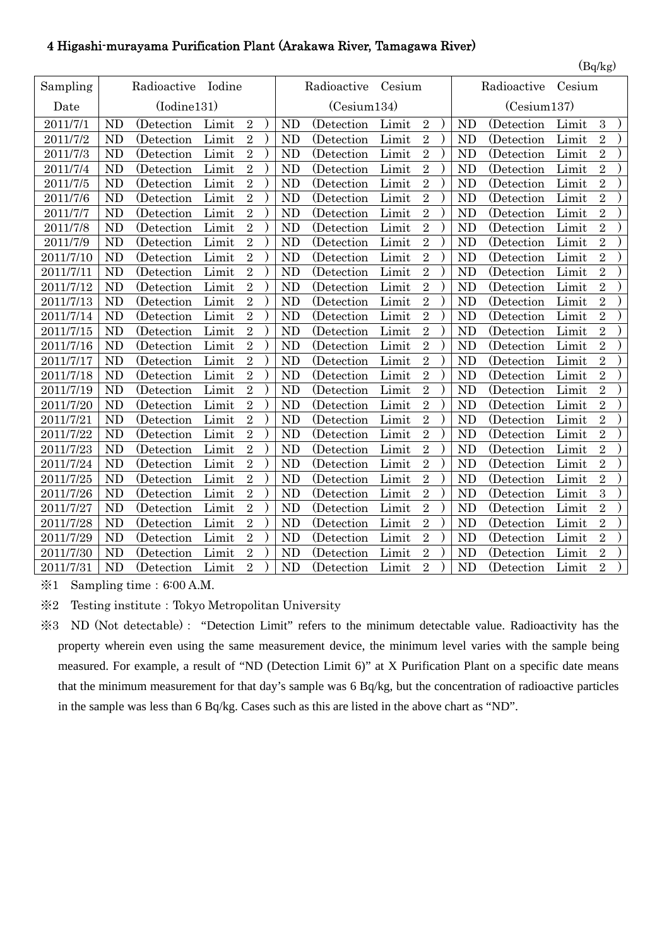### 4 Higashi-murayama Purification Plant (Arakawa River, Tamagawa River)

| Sampling  |                | Radioactive | Iodine |                |                | Radioactive | Cesium |                |  |                | Radioactive | Cesium |                |  |
|-----------|----------------|-------------|--------|----------------|----------------|-------------|--------|----------------|--|----------------|-------------|--------|----------------|--|
| Date      |                | (Iodine131) |        |                | (Cesium134)    |             |        |                |  | (Cesium137)    |             |        |                |  |
| 2011/7/1  | <b>ND</b>      | (Detection  | Limit  | $\overline{2}$ | <b>ND</b>      | (Detection) | Limit  | $\overline{2}$ |  | <b>ND</b>      | (Detection) | Limit  | 3              |  |
| 2011/7/2  | <b>ND</b>      | (Detection  | Limit  | $\overline{2}$ | <b>ND</b>      | (Detection  | Limit  | $\overline{2}$ |  | <b>ND</b>      | (Detection) | Limit  | $\overline{2}$ |  |
| 2011/7/3  | <b>ND</b>      | (Detection  | Limit  | $\overline{2}$ | <b>ND</b>      | (Detection) | Limit  | $\overline{2}$ |  | <b>ND</b>      | (Detection  | Limit  | $\overline{2}$ |  |
| 2011/7/4  | <b>ND</b>      | (Detection) | Limit  | $\overline{2}$ | <b>ND</b>      | (Detection) | Limit  | $\overline{2}$ |  | ND             | (Detection) | Limit  | $\overline{2}$ |  |
| 2011/7/5  | <b>ND</b>      | (Detection  | Limit  | $\overline{2}$ | N <sub>D</sub> | (Detection) | Limit  | $\overline{2}$ |  | <b>ND</b>      | (Detection  | Limit  | $\overline{2}$ |  |
| 2011/7/6  | <b>ND</b>      | (Detection) | Limit  | $\overline{2}$ | N <sub>D</sub> | (Detection) | Limit  | $\overline{2}$ |  | <b>ND</b>      | (Detection) | Limit  | $\overline{2}$ |  |
| 2011/7/7  | <b>ND</b>      | (Detection  | Limit  | $\overline{2}$ | <b>ND</b>      | (Detection) | Limit  | $\overline{2}$ |  | <b>ND</b>      | (Detection  | Limit  | $\overline{2}$ |  |
| 2011/7/8  | <b>ND</b>      | (Detection) | Limit  | $\overline{2}$ | <b>ND</b>      | (Detection  | Limit  | $\overline{2}$ |  | <b>ND</b>      | (Detection  | Limit  | $\overline{2}$ |  |
| 2011/7/9  | <b>ND</b>      | (Detection) | Limit  | $\overline{2}$ | <b>ND</b>      | (Detection  | Limit  | $\overline{2}$ |  | <b>ND</b>      | (Detection  | Limit  | $\overline{2}$ |  |
| 2011/7/10 | <b>ND</b>      | (Detection) | Limit  | $\overline{2}$ | <b>ND</b>      | (Detection) | Limit  | $\overline{2}$ |  | <b>ND</b>      | (Detection) | Limit  | $\sqrt{2}$     |  |
| 2011/7/11 | <b>ND</b>      | (Detection) | Limit  | $\overline{2}$ | <b>ND</b>      | (Detection) | Limit  | $\overline{2}$ |  | ND             | (Detection) | Limit  | $\overline{2}$ |  |
| 2011/7/12 | <b>ND</b>      | (Detection  | Limit  | $\overline{2}$ | N <sub>D</sub> | (Detection  | Limit  | $\overline{2}$ |  | <b>ND</b>      | (Detection  | Limit  | $\overline{2}$ |  |
| 2011/7/13 | <b>ND</b>      | (Detection) | Limit  | $\overline{2}$ | <b>ND</b>      | (Detection  | Limit  | $\overline{2}$ |  | <b>ND</b>      | (Detection) | Limit  | $\overline{2}$ |  |
| 2011/7/14 | <b>ND</b>      | (Detection  | Limit  | $\overline{2}$ | <b>ND</b>      | (Detection  | Limit  | $\overline{2}$ |  | <b>ND</b>      | (Detection  | Limit  | $\sqrt{2}$     |  |
| 2011/7/15 | <b>ND</b>      | (Detection  | Limit  | $\overline{2}$ | <b>ND</b>      | (Detection) | Limit  | $\overline{2}$ |  | <b>ND</b>      | (Detection) | Limit  | $\overline{2}$ |  |
| 2011/7/16 | <b>ND</b>      | (Detection) | Limit  | $\overline{2}$ | <b>ND</b>      | (Detection) | Limit  | $\overline{2}$ |  | <b>ND</b>      | (Detection) | Limit  | $\overline{2}$ |  |
| 2011/7/17 | <b>ND</b>      | (Detection  | Limit  | $\overline{2}$ | N <sub>D</sub> | (Detection) | Limit  | $\overline{2}$ |  | N <sub>D</sub> | (Detection  | Limit  | $\overline{2}$ |  |
| 2011/7/18 | <b>ND</b>      | (Detection) | Limit  | $\overline{2}$ | <b>ND</b>      | (Detection  | Limit  | $\overline{2}$ |  | <b>ND</b>      | (Detection  | Limit  | $\overline{2}$ |  |
| 2011/7/19 | <b>ND</b>      | (Detection) | Limit  | $\overline{2}$ | <b>ND</b>      | (Detection) | Limit  | $\overline{2}$ |  | <b>ND</b>      | (Detection) | Limit  | $\overline{2}$ |  |
| 2011/7/20 | <b>ND</b>      | (Detection  | Limit  | $\overline{2}$ | <b>ND</b>      | (Detection  | Limit  | $\overline{2}$ |  | <b>ND</b>      | (Detection  | Limit  | $\overline{2}$ |  |
| 2011/7/21 | <b>ND</b>      | (Detection) | Limit  | $\overline{2}$ | <b>ND</b>      | (Detection) | Limit  | $\overline{2}$ |  | <b>ND</b>      | (Detection) | Limit  | $\overline{2}$ |  |
| 2011/7/22 | <b>ND</b>      | (Detection) | Limit  | $\overline{2}$ | <b>ND</b>      | (Detection  | Limit  | $\overline{2}$ |  | <b>ND</b>      | (Detection) | Limit  | $\overline{2}$ |  |
| 2011/7/23 | <b>ND</b>      | (Detection  | Limit  | $\overline{2}$ | <b>ND</b>      | (Detection  | Limit  | $\overline{2}$ |  | <b>ND</b>      | (Detection  | Limit  | $\overline{2}$ |  |
| 2011/7/24 | <b>ND</b>      | (Detection  | Limit  | $\overline{2}$ | <b>ND</b>      | (Detection  | Limit  | $\overline{2}$ |  | <b>ND</b>      | (Detection  | Limit  | $\overline{2}$ |  |
| 2011/7/25 | <b>ND</b>      | (Detection) | Limit  | $\overline{2}$ | <b>ND</b>      | (Detection  | Limit  | $\overline{2}$ |  | <b>ND</b>      | (Detection) | Limit  | $\overline{2}$ |  |
| 2011/7/26 | <b>ND</b>      | (Detection) | Limit  | $\overline{2}$ | <b>ND</b>      | (Detection  | Limit  | $\overline{2}$ |  | <b>ND</b>      | (Detection  | Limit  | 3              |  |
| 2011/7/27 | N <sub>D</sub> | (Detection) | Limit  | $\overline{2}$ | <b>ND</b>      | (Detection) | Limit  | $\overline{2}$ |  | <b>ND</b>      | (Detection) | Limit  | $\overline{2}$ |  |
| 2011/7/28 | <b>ND</b>      | (Detection) | Limit  | $\overline{2}$ | <b>ND</b>      | (Detection) | Limit  | $\overline{2}$ |  | <b>ND</b>      | (Detection) | Limit  | $\overline{2}$ |  |
| 2011/7/29 | <b>ND</b>      | (Detection) | Limit  | $\overline{2}$ | <b>ND</b>      | (Detection  | Limit  | $\overline{2}$ |  | <b>ND</b>      | (Detection  | Limit  | $\overline{2}$ |  |
| 2011/7/30 | <b>ND</b>      | (Detection) | Limit  | $\overline{2}$ | <b>ND</b>      | (Detection  | Limit  | $\overline{2}$ |  | <b>ND</b>      | (Detection) | Limit  | $\overline{2}$ |  |
| 2011/7/31 | <b>ND</b>      | (Detection  | Limit  | $\overline{2}$ | <b>ND</b>      | (Detection  | Limit  | $\overline{2}$ |  | <b>ND</b>      | (Detection) | Limit  | $\overline{2}$ |  |

 $\text{\%}1$  Sampling time: 6:00 A.M.

※2 Testing institute:Tokyo Metropolitan University

※3 ND (Not detectable): "Detection Limit" refers to the minimum detectable value. Radioactivity has the property wherein even using the same measurement device, the minimum level varies with the sample being measured. For example, a result of "ND (Detection Limit 6)" at X Purification Plant on a specific date means that the minimum measurement for that day's sample was 6 Bq/kg, but the concentration of radioactive particles in the sample was less than 6 Bq/kg. Cases such as this are listed in the above chart as "ND".

 $(Bq/kg)$